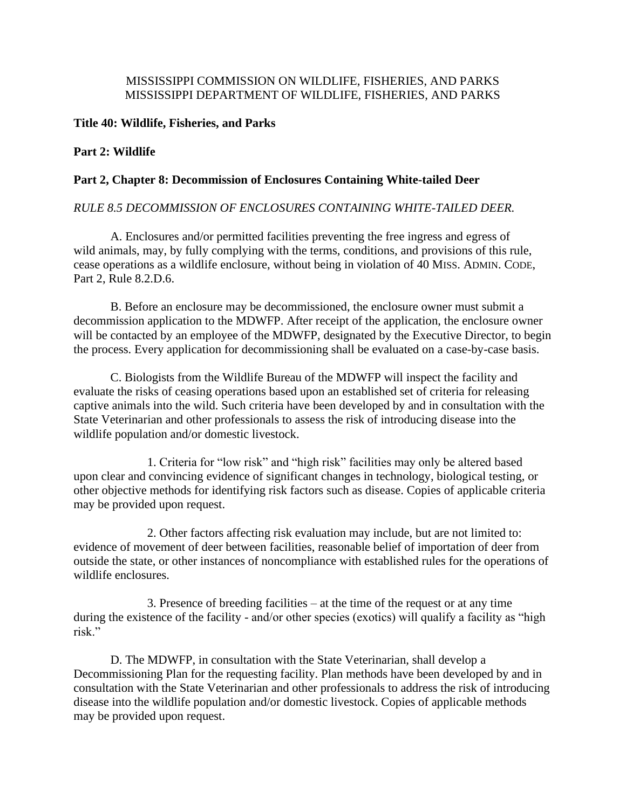# MISSISSIPPI COMMISSION ON WILDLIFE, FISHERIES, AND PARKS MISSISSIPPI DEPARTMENT OF WILDLIFE, FISHERIES, AND PARKS

## **Title 40: Wildlife, Fisheries, and Parks**

# **Part 2: Wildlife**

## **Part 2, Chapter 8: Decommission of Enclosures Containing White-tailed Deer**

# *RULE 8.5 DECOMMISSION OF ENCLOSURES CONTAINING WHITE-TAILED DEER.*

A. Enclosures and/or permitted facilities preventing the free ingress and egress of wild animals, may, by fully complying with the terms, conditions, and provisions of this rule, cease operations as a wildlife enclosure, without being in violation of 40 MISS. ADMIN. CODE, Part 2, Rule 8.2.D.6.

B. Before an enclosure may be decommissioned, the enclosure owner must submit a decommission application to the MDWFP. After receipt of the application, the enclosure owner will be contacted by an employee of the MDWFP, designated by the Executive Director, to begin the process. Every application for decommissioning shall be evaluated on a case-by-case basis.

C. Biologists from the Wildlife Bureau of the MDWFP will inspect the facility and evaluate the risks of ceasing operations based upon an established set of criteria for releasing captive animals into the wild. Such criteria have been developed by and in consultation with the State Veterinarian and other professionals to assess the risk of introducing disease into the wildlife population and/or domestic livestock.

1. Criteria for "low risk" and "high risk" facilities may only be altered based upon clear and convincing evidence of significant changes in technology, biological testing, or other objective methods for identifying risk factors such as disease. Copies of applicable criteria may be provided upon request.

2. Other factors affecting risk evaluation may include, but are not limited to: evidence of movement of deer between facilities, reasonable belief of importation of deer from outside the state, or other instances of noncompliance with established rules for the operations of wildlife enclosures.

3. Presence of breeding facilities – at the time of the request or at any time during the existence of the facility - and/or other species (exotics) will qualify a facility as "high risk."

D. The MDWFP, in consultation with the State Veterinarian, shall develop a Decommissioning Plan for the requesting facility. Plan methods have been developed by and in consultation with the State Veterinarian and other professionals to address the risk of introducing disease into the wildlife population and/or domestic livestock. Copies of applicable methods may be provided upon request.